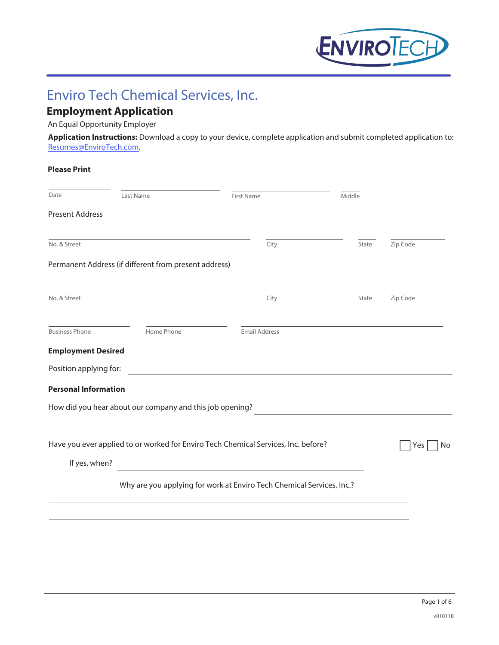

# Enviro Tech Chemical Services, Inc.

# **Employment Application**

### An Equal Opportunity Employer

**Application Instructions:** Download a copy to your device, complete application and submit completed application to: Resumes@EnviroTech.com.

| <b>Please Print</b>         |                                                          |                                                                                    |        |           |
|-----------------------------|----------------------------------------------------------|------------------------------------------------------------------------------------|--------|-----------|
| Date                        | Last Name                                                | <b>First Name</b>                                                                  | Middle |           |
| <b>Present Address</b>      |                                                          |                                                                                    |        |           |
| No. & Street                |                                                          | City                                                                               | State  | Zip Code  |
|                             | Permanent Address (if different from present address)    |                                                                                    |        |           |
| No. & Street                |                                                          | City                                                                               | State  | Zip Code  |
| <b>Business Phone</b>       | Home Phone                                               | <b>Email Address</b>                                                               |        |           |
| <b>Employment Desired</b>   |                                                          |                                                                                    |        |           |
| Position applying for:      |                                                          |                                                                                    |        |           |
| <b>Personal Information</b> |                                                          |                                                                                    |        |           |
|                             | How did you hear about our company and this job opening? |                                                                                    |        |           |
|                             |                                                          | Have you ever applied to or worked for Enviro Tech Chemical Services, Inc. before? |        | Yes<br>No |
| If yes, when?               |                                                          |                                                                                    |        |           |
|                             |                                                          | Why are you applying for work at Enviro Tech Chemical Services, Inc.?              |        |           |
|                             |                                                          |                                                                                    |        |           |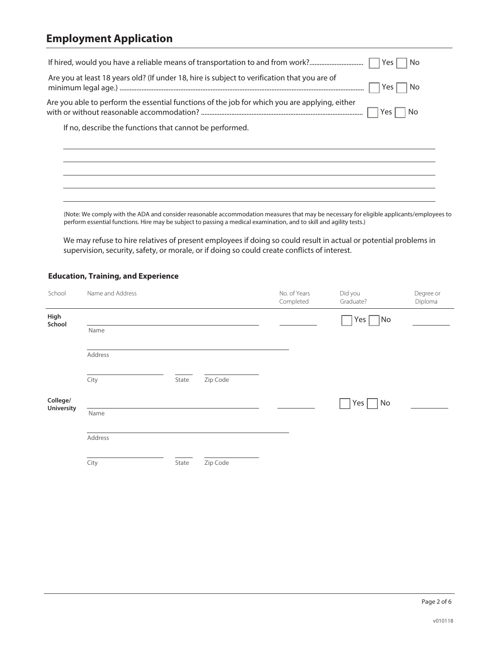| If hired, would you have a reliable means of transportation to and from work?<br>Yes<br>No                 |  |
|------------------------------------------------------------------------------------------------------------|--|
| Are you at least 18 years old? (If under 18, hire is subject to verification that you are of<br>No<br>Yes  |  |
| Are you able to perform the essential functions of the job for which you are applying, either<br>Yes<br>No |  |
| If no, describe the functions that cannot be performed.                                                    |  |
|                                                                                                            |  |
|                                                                                                            |  |
|                                                                                                            |  |
|                                                                                                            |  |

(Note: We comply with the ADA and consider reasonable accommodation measures that may be necessary for eligible applicants/employees to perform essential functions. Hire may be subject to passing a medical examination, and to skill and agility tests.)

We may refuse to hire relatives of present employees if doing so could result in actual or potential problems in supervision, security, safety, or morale, or if doing so could create conflicts of interest.

#### **Education, Training, and Experience**

| School                 | Name and Address |       |          | No. of Years<br>Completed | Did you<br>Graduate?          | Degree or<br>Diploma |
|------------------------|------------------|-------|----------|---------------------------|-------------------------------|----------------------|
| High<br>School         |                  |       |          |                           | Yes<br>$\Box$ No              |                      |
|                        | Name             |       |          |                           |                               |                      |
|                        | Address          |       |          |                           |                               |                      |
|                        | City             | State | Zip Code |                           |                               |                      |
| College/<br>University |                  |       |          |                           | Yes $\lceil$<br>$\mathsf{No}$ |                      |
|                        | Name             |       |          |                           |                               |                      |
|                        | Address          |       |          |                           |                               |                      |
|                        | City             | State | Zip Code |                           |                               |                      |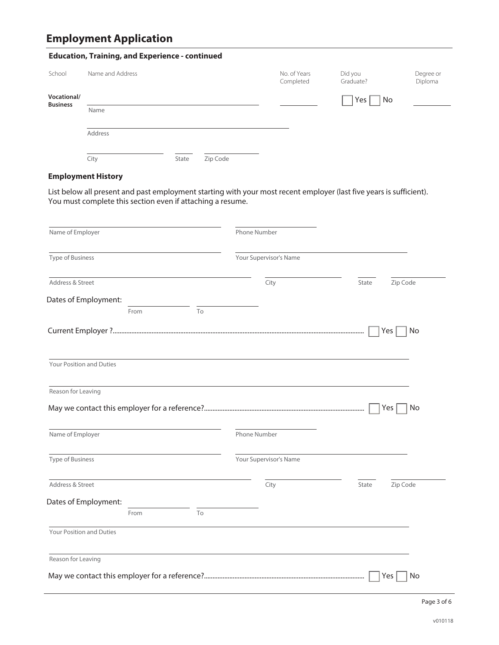| <b>Education, Training, and Experience - continued</b> |                  |       |          |                           |                      |                      |
|--------------------------------------------------------|------------------|-------|----------|---------------------------|----------------------|----------------------|
|                                                        |                  |       |          |                           |                      |                      |
| School                                                 | Name and Address |       |          | No. of Years<br>Completed | Did you<br>Graduate? | Degree or<br>Diploma |
| Vocational/<br><b>Business</b>                         |                  |       |          |                           | Yes<br>No            |                      |
|                                                        | Name             |       |          |                           |                      |                      |
|                                                        | Address          |       |          |                           |                      |                      |
|                                                        | City             | State | Zip Code |                           |                      |                      |

### **Employment History**

List below all present and past employment starting with your most recent employer (last five years is sufficient). You must complete this section even if attaching a resume.

| Name of Employer                                             |      |    | <b>Phone Number</b>    |                   |
|--------------------------------------------------------------|------|----|------------------------|-------------------|
| Type of Business                                             |      |    | Your Supervisor's Name |                   |
| Address & Street                                             |      |    | City                   | Zip Code<br>State |
| Dates of Employment:                                         |      |    |                        |                   |
|                                                              | From | To |                        |                   |
|                                                              |      |    |                        | Yes<br>No         |
| Your Position and Duties                                     |      |    |                        |                   |
| Reason for Leaving                                           |      |    |                        |                   |
|                                                              |      |    |                        |                   |
|                                                              |      |    |                        | Yes<br>No         |
| Name of Employer                                             |      |    | Phone Number           |                   |
|                                                              |      |    | Your Supervisor's Name |                   |
|                                                              |      |    | City                   | State<br>Zip Code |
|                                                              |      |    |                        |                   |
| Type of Business<br>Address & Street<br>Dates of Employment: | From | To |                        |                   |
| Your Position and Duties                                     |      |    |                        |                   |
| Reason for Leaving                                           |      |    |                        |                   |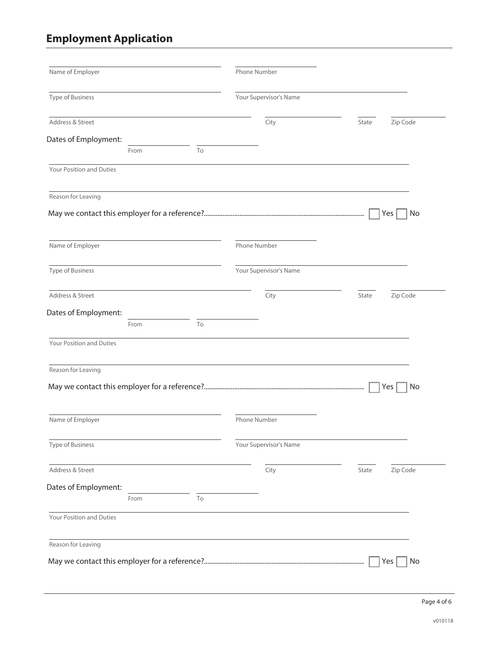| Name of Employer         |      |    | Phone Number           |                   |
|--------------------------|------|----|------------------------|-------------------|
| Type of Business         |      |    | Your Supervisor's Name |                   |
| Address & Street         |      |    | City                   | Zip Code<br>State |
| Dates of Employment:     |      |    |                        |                   |
|                          | From | To |                        |                   |
| Your Position and Duties |      |    |                        |                   |
| Reason for Leaving       |      |    |                        |                   |
|                          |      |    |                        | No<br>Yes         |
| Name of Employer         |      |    | Phone Number           |                   |
| <b>Type of Business</b>  |      |    | Your Supervisor's Name |                   |
| Address & Street         |      |    | City                   | Zip Code<br>State |
| Dates of Employment:     |      |    |                        |                   |
|                          | From | To |                        |                   |
| Your Position and Duties |      |    |                        |                   |
| Reason for Leaving       |      |    |                        |                   |
|                          |      |    |                        | No<br>Yes         |
| Name of Employer         |      |    | Phone Number           |                   |
| Type of Business         |      |    | Your Supervisor's Name |                   |
| Address & Street         |      |    | City                   | Zip Code<br>State |
| Dates of Employment:     |      |    |                        |                   |
|                          | From | To |                        |                   |
| Your Position and Duties |      |    |                        |                   |
| Reason for Leaving       |      |    |                        |                   |
|                          |      |    |                        | Yes<br>No         |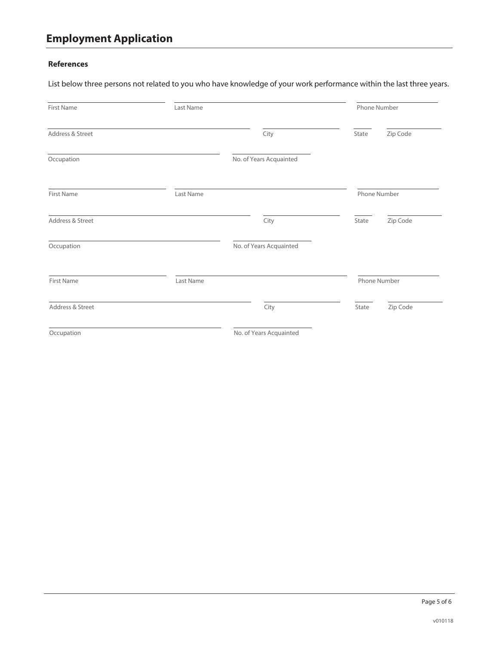#### **References**

List below three persons not related to you who have knowledge of your work performance within the last three years.

| First Name        | Last Name |                         | Phone Number |              |
|-------------------|-----------|-------------------------|--------------|--------------|
| Address & Street  |           | City                    | State        | Zip Code     |
| Occupation        |           | No. of Years Acquainted |              |              |
| <b>First Name</b> | Last Name |                         |              | Phone Number |
| Address & Street  |           | City                    | State        | Zip Code     |
| Occupation        |           | No. of Years Acquainted |              |              |
| <b>First Name</b> | Last Name |                         |              | Phone Number |
| Address & Street  |           | City                    | State        | Zip Code     |
| Occupation        |           | No. of Years Acquainted |              |              |